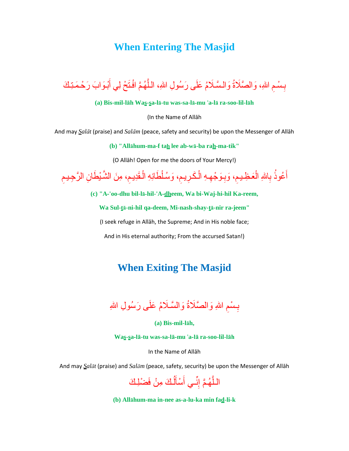# **When Entering The Masjid**

#### بِسْمِ اللهِ، وَالصَّلَاةُ وَالسَّلَامُ عَلَى رَسُولِ اللهِ، اللَّهُمَّ افْتَحْ لِي أَبْـوَابَ رَحْمَتِكَ م<br>أ َّ  $\ddot{\phantom{a}}$ ِ

#### **(a) Bis-mil-lāh Was-sa-lā-tu was-sa-lā-mu** '**a-lā ra-soo-lil-lāh**

(In the Name of Allāh

And may *Salāt* (praise) and *Salām* (peace, safety and security) be upon the Messenger of Allāh

**(b) "Allāhum-ma-f tah lee ab-wā-ba rah-ma-tik"**

(O Allāh! Open for me the doors of Your Mercy!)

أَعُوذُ بِاللهِ الْعَظِيمِ، وَبِوَجْهِهِ الْكَرِيمِ، وَسُلْطَانِهِ الْقَدِيمِ، مِنَ الشَّيْطَانِ الرَّجِيمِ  $\ddot{\phantom{a}}$ ْ  $\ddot{\phantom{a}}$ ِ ْ ِ ِ  $\ddot{\phantom{a}}$ ْ ِ َ ِ

**(c) "A-'oo-dhu bil-lā-hil-'A-dheem, Wa bi-Waj-hi-hil Ka-reem,**

**Wa Sul-tā-ni-hil qa-deem, Mi-nash-shay-tā-nir ra-jeem"** 

(I seek refuge in Allāh, the Supreme; And in His noble face;

And in His eternal authority; From the accursed Satan!)

# **When Exiting The Masjid**

بِسْمِ اللهِ وَالصَّلَاةُ وَالسَّلَامُ عَلَى رَسُولِ اللهِ  $\ddot{\phantom{a}}$ ِ

**(a) Bis-mil-lāh,** 

**Was-sa-lā-tu was-sa-lā-mu** '**a-lā ra-soo-lil-lāh**

In the Name of Allāh

And may *Salāt* (praise) and *Salām* (peace, safety, security) be upon the Messenger of Allāh

اللَّـهُمَّ إِنِّــي أَسْأَلُـكَ مِنْ فَضْلِـكَ  $\overline{a}$ َ َ ِّ ِ َّ

**(b) Allāhum-ma in-nee as-a-lu-ka min fad-li-k**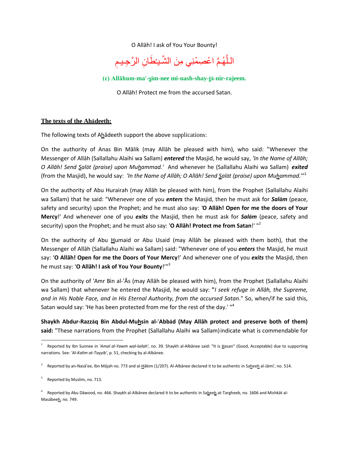O Allāh! I ask of You Your Bounty!

 $\overline{\phantom{a}}$ اللَّهُمَّ اعْصِمْنِي مِنَ الشَّيْطَانِ الرَّجِيمِ ْ َّ

**(c) Allāhum-ma'-sim-nee mi-nash-shay-tā-nir-rajeem.**

O Allāh! Protect me from the accursed Satan.

### **The texts of the Ahādeeth:**

The following texts of Ahādeeth support the above supplications:

On the authority of Anas Bin Mālik (may Allāh be pleased with him), who said: "Whenever the Messenger of Allāh (Sallallahu Alaihi wa Sallam) *entered* the Masjid, he would say, *'In the Name of Allāh; O Allāh! Send Salāt (praise) upon Muhammad.'* And whenever he (Sallallahu Alaihi wa Sallam) *exited* (from the Masjid), he would say: *'In the Name of Allāh; O Allāh! Send Salāt (praise) upon Muhammad.*'"<sup>1</sup>

On the authority of Abu Hurairah (may Allāh be pleased with him), from the Prophet (Sallallahu Alaihi wa Sallam) that he said: "Whenever one of you *enters* the Masjid, then he must ask for *Salām* (peace, safety and security) upon the Prophet; and he must also say: *'***O Allāh! Open for me the doors of Your Mercy**!' And whenever one of you *exits* the Masjid, then he must ask for *Salām* (peace, safety and security) upon the Prophet; and he must also say: '**O Allāh! Protect me from Satan**!' "<sup>2</sup>

On the authority of Abu Humaid or Abu Usaid (may Allāh be pleased with them both), that the Messenger of Allāh (Sallallahu Alaihi wa Sallam) said: "Whenever one of you *enters* the Masjid, he must say: '**O Allāh! Open for me the Doors of Your Mercy**!' And whenever one of you *exits* the Masjid, then he must say: '**O Allāh! I ask of You Your Bounty**!'"<sup>3</sup>

On the authority of 'Amr Bin al-'Ās (may Allāh be pleased with him), from the Prophet (Sallallahu Alaihi wa Sallam) that whenever he entered the Masjid, he would say: **"***I seek refuge in Allāh, the Supreme, and in His Noble Face, and in His Eternal Authority, from the accursed Satan*." So, when/if he said this, Satan would say: 'He has been protected from me for the rest of the day.' "<sup>4</sup>

**Shaykh Abdur-Razzāq Bin Abdul-Muhsin al-**'**Abbād (May Allāh protect and preserve both of them) said:** "These narrations from the Prophet (Sallallahu Alaihi wa Sallam)indicate what is commendable for

 $\overline{a}$ 

<sup>1</sup> Reported by Ibn Sunnee in *'Amal al-Yawm wal-lailah'*, no. 39. Shaykh al-Albānee said: "It is Hasan" (Good, Acceptable) due to supporting narrations. See: *'Al-Kalim at-Tayyib'*, p. 51, checking by al-Albānee.

<sup>2</sup> Reported by an-Nasā'ee, Ibn Mājah no. 773 and al-Hākim (1/207). Al-Albānee declared it to be authentic in Saheeh al-Jāmi', no. 514.

<sup>3</sup> Reported by Muslim, no. 713.

<sup>&</sup>lt;sup>4</sup> Reported by Abu Dāwood, no. 466. Shaykh al-Albānee declared it to be authentic in Sa<u>h</u>ee<u>h</u> at-Targheeb, no. 1606 and Mishkāt al-Masābeeh, no. 749.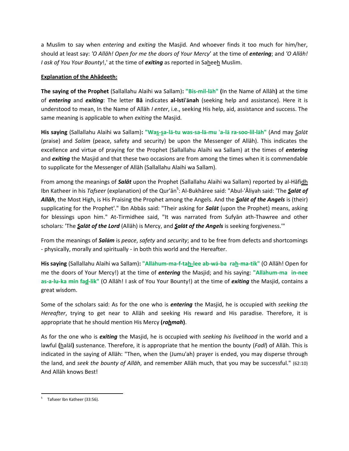a Muslim to say when *entering* and *exiting* the Masjid. And whoever finds it too much for him/her, should at least say: *'O Allāh! Open for me the doors of Your Mercy*' at the time of *entering*; and *'O Allāh! I ask of You Your Bounty!,' at the time of <i>exiting* as reported in Saheeh Muslim.

## **Explanation of the Ahādeeth:**

**The saying of the Prophet** (Sallallahu Alaihi wa Sallam)**: "Bis-mil-lāh" (**In the Name of Allāh**)** at the time of *entering* and *exiting*: The letter **Bā** indicates **al-Isti**'**ānah** (seeking help and assistance). Here it is understood to mean, In the Name of Allāh *I enter*, i.e., seeking His help, aid, assistance and success. The same meaning is applicable to when *exiting* the Masjid.

His saying (Sallallahu Alaihi wa Sallam): "Was-sa-lā-tu was-sa-lā-mu 'a-lā ra-soo-lil-lāh" (And may Salāt (praise) and *Salām* (peace, safety and security) be upon the Messenger of Allāh). This indicates the excellence and virtue of praying for the Prophet (Sallallahu Alaihi wa Sallam) at the times of *entering* and *exiting* the Masjid and that these two occasions are from among the times when it is commendable to supplicate for the Messenger of Allāh (Sallallahu Alaihi wa Sallam).

From among the meanings of *Salāt* upon the Prophet (Sallallahu Alaihi wa Sallam) reported by al-Hāfidh Ibn Katheer in his *Tafseer* (explanation) of the Qur'ān<sup>5</sup>: Al-Bukhāree said: "Abul-'Āliyah said: 'The *Salāt of Allāh*, the Most High, is His Praising the Prophet among the Angels. And the *Salāt of the Angels* is (their) supplicating for the Prophet'." Ibn Abbās said: "Their asking for *Salāt* (upon the Prophet) means, asking for blessings upon him." At-Tirmidhee said, "It was narrated from Sufyān ath-Thawree and other scholars: 'The *Salāt of the Lord* (Allāh) is Mercy, and *Salāt of the Angels* is seeking forgiveness.'"

From the meanings of *Salām* is *peace*, *safety* and *security*; and to be free from defects and shortcomings - physically, morally and spiritually - in both this world and the Hereafter.

**His saying** (Sallallahu Alaihi wa Sallam)**: "Allāhum-ma-f-tah-lee ab-wā-ba rah-ma-tik"** (O Allāh! Open for me the doors of Your Mercy!) at the time of *entering* the Masjid; and his saying: **"Allāhum-ma in-nee as-a-lu-ka min fad-lik"** (O Allāh! I ask of You Your Bounty!) at the time of *exiting* the Masjid, contains a great wisdom.

Some of the scholars said: As for the one who is *entering* the Masjid, he is occupied with *seeking the Hereafter*, trying to get near to Allāh and seeking His reward and His paradise. Therefore, it is appropriate that he should mention His Mercy **(***rahmah***)**.

As for the one who is *exiting* the Masjid, he is occupied with *seeking his livelihood* in the world and a lawful **(**halāl**)** sustenance. Therefore, it is appropriate that he mention the bounty (*Fadl*) of Allāh. This is indicated in the saying of Allāh: "Then, when the (Jumu'ah) prayer is ended, you may disperse through the land, and *seek the bounty of Allāh*, and remember Allāh much, that you may be successful." (62:10) And Allāh knows Best!

 $\overline{a}$ 5 Tafseer Ibn Katheer (33:56).